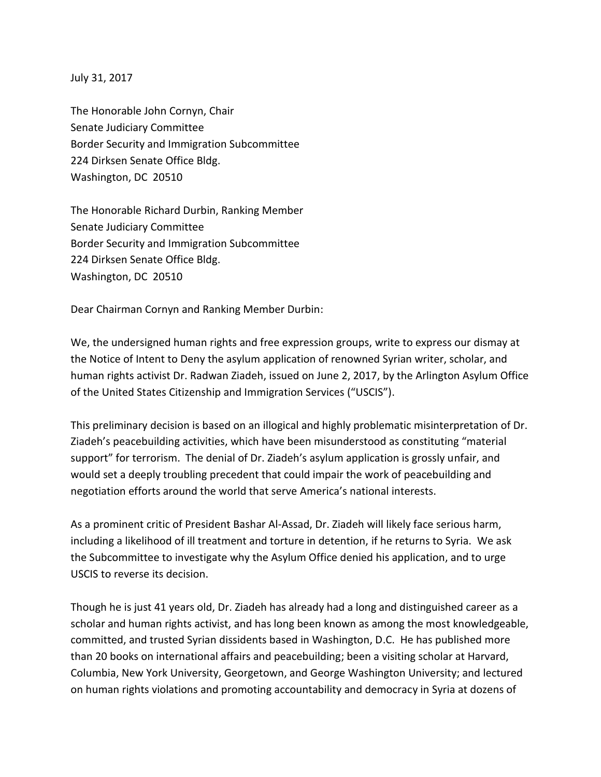July 31, 2017

The Honorable John Cornyn, Chair Senate Judiciary Committee Border Security and Immigration Subcommittee 224 Dirksen Senate Office Bldg. Washington, DC 20510

The Honorable Richard Durbin, Ranking Member Senate Judiciary Committee Border Security and Immigration Subcommittee 224 Dirksen Senate Office Bldg. Washington, DC 20510

Dear Chairman Cornyn and Ranking Member Durbin:

We, the undersigned human rights and free expression groups, write to express our dismay at the Notice of Intent to Deny the asylum application of renowned Syrian writer, scholar, and human rights activist Dr. Radwan Ziadeh, issued on June 2, 2017, by the Arlington Asylum Office of the United States Citizenship and Immigration Services ("USCIS").

This preliminary decision is based on an illogical and highly problematic misinterpretation of Dr. Ziadeh's peacebuilding activities, which have been misunderstood as constituting "material support" for terrorism. The denial of Dr. Ziadeh's asylum application is grossly unfair, and would set a deeply troubling precedent that could impair the work of peacebuilding and negotiation efforts around the world that serve America's national interests.

As a prominent critic of President Bashar Al-Assad, Dr. Ziadeh will likely face serious harm, including a likelihood of ill treatment and torture in detention, if he returns to Syria. We ask the Subcommittee to investigate why the Asylum Office denied his application, and to urge USCIS to reverse its decision.

Though he is just 41 years old, Dr. Ziadeh has already had a long and distinguished career as a scholar and human rights activist, and has long been known as among the most knowledgeable, committed, and trusted Syrian dissidents based in Washington, D.C. He has published more than 20 books on international affairs and peacebuilding; been a visiting scholar at Harvard, Columbia, New York University, Georgetown, and George Washington University; and lectured on human rights violations and promoting accountability and democracy in Syria at dozens of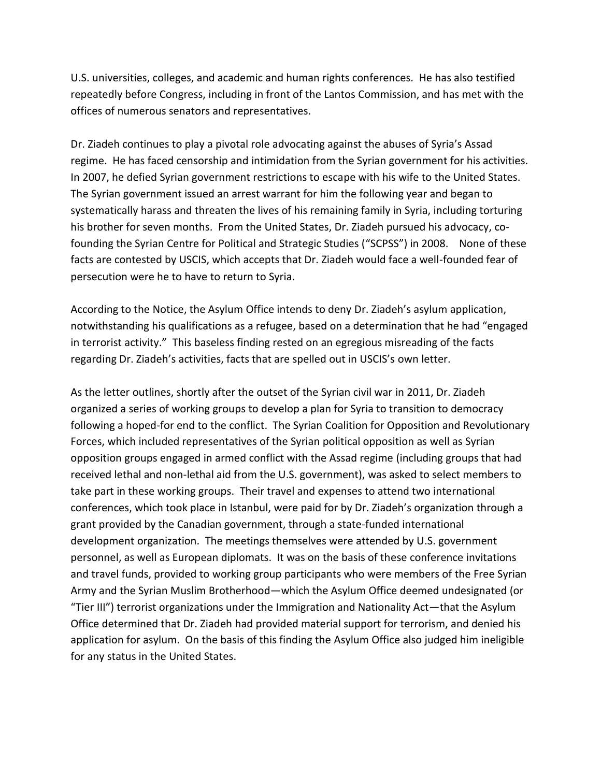U.S. universities, colleges, and academic and human rights conferences. He has also testified repeatedly before Congress, including in front of the Lantos Commission, and has met with the offices of numerous senators and representatives.

Dr. Ziadeh continues to play a pivotal role advocating against the abuses of Syria's Assad regime. He has faced censorship and intimidation from the Syrian government for his activities. In 2007, he defied Syrian government restrictions to escape with his wife to the United States. The Syrian government issued an arrest warrant for him the following year and began to systematically harass and threaten the lives of his remaining family in Syria, including torturing his brother for seven months. From the United States, Dr. Ziadeh pursued his advocacy, cofounding the Syrian Centre for Political and Strategic Studies ("SCPSS") in 2008. None of these facts are contested by USCIS, which accepts that Dr. Ziadeh would face a well-founded fear of persecution were he to have to return to Syria.

According to the Notice, the Asylum Office intends to deny Dr. Ziadeh's asylum application, notwithstanding his qualifications as a refugee, based on a determination that he had "engaged in terrorist activity." This baseless finding rested on an egregious misreading of the facts regarding Dr. Ziadeh's activities, facts that are spelled out in USCIS's own letter.

As the letter outlines, shortly after the outset of the Syrian civil war in 2011, Dr. Ziadeh organized a series of working groups to develop a plan for Syria to transition to democracy following a hoped-for end to the conflict. The Syrian Coalition for Opposition and Revolutionary Forces, which included representatives of the Syrian political opposition as well as Syrian opposition groups engaged in armed conflict with the Assad regime (including groups that had received lethal and non-lethal aid from the U.S. government), was asked to select members to take part in these working groups. Their travel and expenses to attend two international conferences, which took place in Istanbul, were paid for by Dr. Ziadeh's organization through a grant provided by the Canadian government, through a state-funded international development organization. The meetings themselves were attended by U.S. government personnel, as well as European diplomats. It was on the basis of these conference invitations and travel funds, provided to working group participants who were members of the Free Syrian Army and the Syrian Muslim Brotherhood—which the Asylum Office deemed undesignated (or "Tier III") terrorist organizations under the Immigration and Nationality Act—that the Asylum Office determined that Dr. Ziadeh had provided material support for terrorism, and denied his application for asylum. On the basis of this finding the Asylum Office also judged him ineligible for any status in the United States.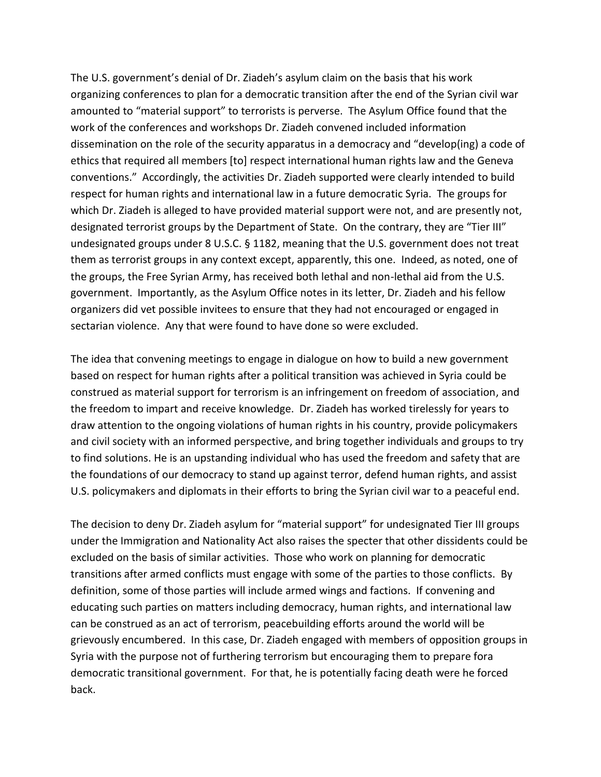The U.S. government's denial of Dr. Ziadeh's asylum claim on the basis that his work organizing conferences to plan for a democratic transition after the end of the Syrian civil war amounted to "material support" to terrorists is perverse. The Asylum Office found that the work of the conferences and workshops Dr. Ziadeh convened included information dissemination on the role of the security apparatus in a democracy and "develop(ing) a code of ethics that required all members [to] respect international human rights law and the Geneva conventions." Accordingly, the activities Dr. Ziadeh supported were clearly intended to build respect for human rights and international law in a future democratic Syria. The groups for which Dr. Ziadeh is alleged to have provided material support were not, and are presently not, designated terrorist groups by the Department of State. On the contrary, they are "Tier III" undesignated groups under 8 U.S.C. § 1182, meaning that the U.S. government does not treat them as terrorist groups in any context except, apparently, this one. Indeed, as noted, one of the groups, the Free Syrian Army, has received both lethal and non-lethal aid from the U.S. government. Importantly, as the Asylum Office notes in its letter, Dr. Ziadeh and his fellow organizers did vet possible invitees to ensure that they had not encouraged or engaged in sectarian violence. Any that were found to have done so were excluded.

The idea that convening meetings to engage in dialogue on how to build a new government based on respect for human rights after a political transition was achieved in Syria could be construed as material support for terrorism is an infringement on freedom of association, and the freedom to impart and receive knowledge. Dr. Ziadeh has worked tirelessly for years to draw attention to the ongoing violations of human rights in his country, provide policymakers and civil society with an informed perspective, and bring together individuals and groups to try to find solutions. He is an upstanding individual who has used the freedom and safety that are the foundations of our democracy to stand up against terror, defend human rights, and assist U.S. policymakers and diplomats in their efforts to bring the Syrian civil war to a peaceful end.

The decision to deny Dr. Ziadeh asylum for "material support" for undesignated Tier III groups under the Immigration and Nationality Act also raises the specter that other dissidents could be excluded on the basis of similar activities. Those who work on planning for democratic transitions after armed conflicts must engage with some of the parties to those conflicts. By definition, some of those parties will include armed wings and factions. If convening and educating such parties on matters including democracy, human rights, and international law can be construed as an act of terrorism, peacebuilding efforts around the world will be grievously encumbered. In this case, Dr. Ziadeh engaged with members of opposition groups in Syria with the purpose not of furthering terrorism but encouraging them to prepare fora democratic transitional government. For that, he is potentially facing death were he forced back.